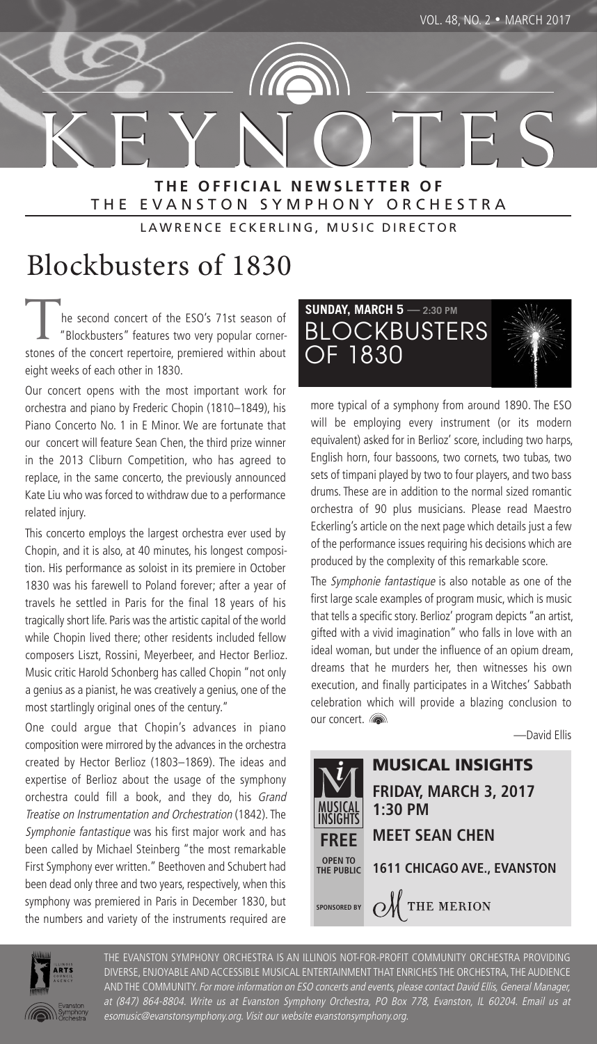K E Y N O T E S **T H E O F F I C I A L N E W S L E T T E R O F** THE EVANSTON SYMPHONY ORCHESTRA

LAWRENCE ECKERLING, MUSIC DIRECTOR

# Blockbusters of 1830

The second concert of the ESO's 71st season of<br>"Blockbusters" features two very popular cornerstones of the concert repertoire, premiered within about eight weeks of each other in 1830.

Our concert opens with the most important work for orchestra and piano by Frederic Chopin (1810–1849), his Piano Concerto No. 1 in E Minor. We are fortunate that our concert will feature Sean Chen, the third prize winner in the 2013 Cliburn Competition, who has agreed to replace, in the same concerto, the previously announced Kate Liu who was forced to withdraw due to a performance related injury.

This concerto employs the largest orchestra ever used by Chopin, and it is also, at 40 minutes, his longest composition. His performance as soloist in its premiere in October 1830 was his farewell to Poland forever; after a year of travels he settled in Paris for the final 18 years of his tragically short life. Paris was the artistic capital of the world while Chopin lived there; other residents included fellow composers Liszt, Rossini, Meyerbeer, and Hector Berlioz. Music critic Harold Schonberg has called Chopin "not only a genius as a pianist, he was creatively a genius, one of the most startlingly original ones of the century."

One could argue that Chopin's advances in piano composition were mirrored by the advances in the orchestra created by Hector Berlioz (1803–1869). The ideas and expertise of Berlioz about the usage of the symphony orchestra could fill a book, and they do, his Grand Treatise on Instrumentation and Orchestration (1842). The Symphonie fantastique was his first major work and has been called by Michael Steinberg "the most remarkable First Symphony ever written." Beethoven and Schubert had been dead only three and two years, respectively, when this symphony was premiered in Paris in December 1830, but the numbers and variety of the instruments required are

#### **SUNDAY, MARCH 5 — 2:30 PM BLOCKBUSTERS** OF 1830

more typical of a symphony from around 1890. The ESO

will be employing every instrument (or its modern equivalent) asked for in Berlioz' score, including two harps, English horn, four bassoons, two cornets, two tubas, two sets of timpani played by two to four players, and two bass drums. These are in addition to the normal sized romantic orchestra of 90 plus musicians. Please read Maestro Eckerling's article on the next page which details just a few of the performance issues requiring his decisions which are produced by the complexity of this remarkable score.

The Symphonie fantastique is also notable as one of the first large scale examples of program music, which is music that tells a specific story. Berlioz' program depicts "an artist, gifted with a vivid imagination" who falls in love with an ideal woman, but under the influence of an opium dream, dreams that he murders her, then witnesses his own execution, and finally participates in a Witches' Sabbath celebration which will provide a blazing conclusion to our concert.

—David Ellis





THE EVANSTON SYMPHONY ORCHESTRA IS AN ILLINOIS NOT-FOR-PROFIT COMMUNITY ORCHESTRA PROVIDING DIVERSE, ENJOYABLE AND ACCESSIBLE MUSICAL ENTERTAINMENT THAT ENRICHES THE ORCHESTRA, THE AUDIENCE AND THE COMMUNITY. For more information on ESO concerts and events, please contact David Ellis, General Manager, at (847) 864-8804. Write us at Evanston Symphony Orchestra, PO Box 778, Evanston, IL 60204. Email us at esomusic@evanstonsymphony.org. Visit our website evanstonsymphony.org.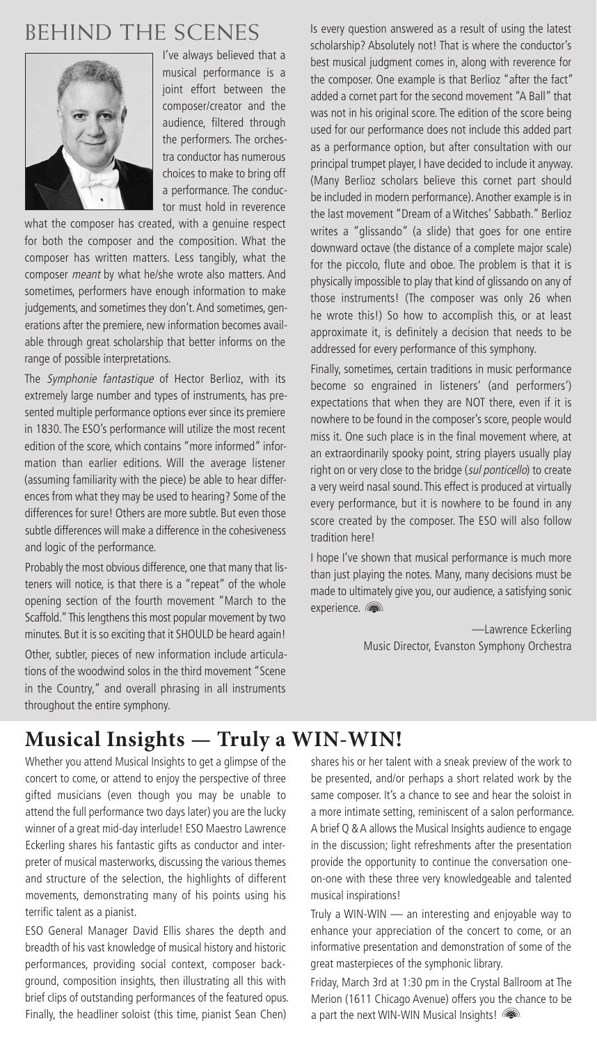# BEHIND THE SCENES



I've always believed that a musical performance is a joint effort between the composer/creator and the audience, filtered through the performers. The orchestra conductor has numerous choices to make to bring off a performance. The conductor must hold in reverence

what the composer has created, with a genuine respect for both the composer and the composition. What the composer has written matters. Less tangibly, what the composer meant by what he/she wrote also matters. And sometimes, performers have enough information to make judgements, and sometimes they don't. And sometimes, generations after the premiere, new information becomes available through great scholarship that better informs on the range of possible interpretations.

The Symphonie fantastique of Hector Berlioz, with its extremely large number and types of instruments, has presented multiple performance options ever since its premiere in 1830. The ESO's performance will utilize the most recent edition of the score, which contains "more informed" information than earlier editions. Will the average listener (assuming familiarity with the piece) be able to hear differences from what they may be used to hearing? Some of the differences for sure! Others are more subtle. But even those subtle differences will make a difference in the cohesiveness and logic of the performance.

Probably the most obvious difference, one that many that listeners will notice, is that there is a "repeat" of the whole opening section of the fourth movement "March to the Scaffold." This lengthens this most popular movement by two minutes. But it is so exciting that it SHOULD be heard again! Other, subtler, pieces of new information include articulations of the woodwind solos in the third movement "Scene in the Country," and overall phrasing in all instruments throughout the entire symphony.

Is every question answered as a result of using the latest scholarship? Absolutely not! That is where the conductor's best musical judgment comes in, along with reverence for the composer. One example is that Berlioz "after the fact" added a cornet part for the second movement "A Ball" that was not in his original score. The edition of the score being used for our performance does not include this added part as a performance option, but after consultation with our principal trumpet player, I have decided to include it anyway. (Many Berlioz scholars believe this cornet part should be included in modern performance). Another example is in the last movement "Dream of a Witches' Sabbath." Berlioz writes a "glissando" (a slide) that goes for one entire downward octave (the distance of a complete major scale) for the piccolo, flute and oboe. The problem is that it is physically impossible to play that kind of glissando on any of those instruments! (The composer was only 26 when he wrote this!) So how to accomplish this, or at least approximate it, is definitely a decision that needs to be addressed for every performance of this symphony.

Finally, sometimes, certain traditions in music performance become so engrained in listeners' (and performers') expectations that when they are NOT there, even if it is nowhere to be found in the composer's score, people would miss it. One such place is in the final movement where, at an extraordinarily spooky point, string players usually play right on or very close to the bridge (sul ponticello) to create a very weird nasal sound. This effect is produced at virtually every performance, but it is nowhere to be found in any score created by the composer. The ESO will also follow tradition here!

I hope I've shown that musical performance is much more than just playing the notes. Many, many decisions must be made to ultimately give you, our audience, a satisfying sonic experience.

> —Lawrence Eckerling Music Director, Evanston Symphony Orchestra

## **Musical Insights — Truly a WIN-WIN!**

Whether you attend Musical Insights to get a glimpse of the concert to come, or attend to enjoy the perspective of three gifted musicians (even though you may be unable to attend the full performance two days later) you are the lucky winner of a great mid-day interlude! ESO Maestro Lawrence Eckerling shares his fantastic gifts as conductor and interpreter of musical masterworks, discussing the various themes and structure of the selection, the highlights of different movements, demonstrating many of his points using his terrific talent as a pianist.

ESO General Manager David Ellis shares the depth and breadth of his vast knowledge of musical history and historic performances, providing social context, composer background, composition insights, then illustrating all this with brief clips of outstanding performances of the featured opus. Finally, the headliner soloist (this time, pianist Sean Chen)

shares his or her talent with a sneak preview of the work to be presented, and/or perhaps a short related work by the same composer. It's a chance to see and hear the soloist in a more intimate setting, reminiscent of a salon performance. A brief Q & A allows the Musical Insights audience to engage in the discussion; light refreshments after the presentation provide the opportunity to continue the conversation oneon-one with these three very knowledgeable and talented musical inspirations!

Truly a WIN-WIN — an interesting and enjoyable way to enhance your appreciation of the concert to come, or an informative presentation and demonstration of some of the great masterpieces of the symphonic library.

Friday, March 3rd at 1:30 pm in the Crystal Ballroom at The Merion (1611 Chicago Avenue) offers you the chance to be a part the next WIN-WIN Musical Insights!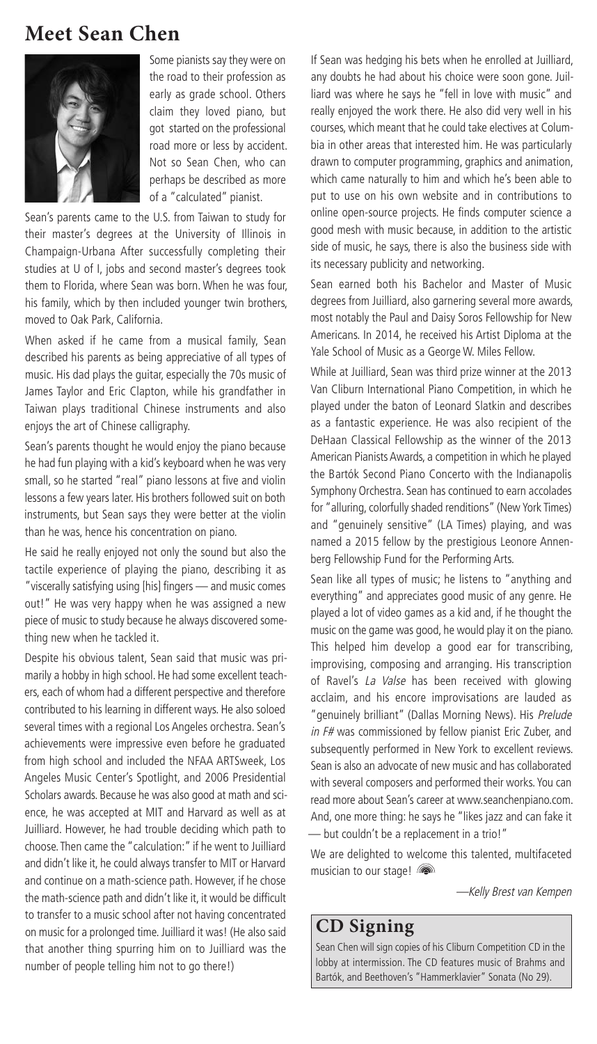#### **Meet Sean Chen**



Some pianists say they were on the road to their profession as early as grade school. Others claim they loved piano, but got started on the professional road more or less by accident. Not so Sean Chen, who can perhaps be described as more of a "calculated" pianist.

Sean's parents came to the U.S. from Taiwan to study for their master's degrees at the University of Illinois in Champaign-Urbana After successfully completing their studies at U of I, jobs and second master's degrees took them to Florida, where Sean was born. When he was four, his family, which by then included younger twin brothers, moved to Oak Park, California.

When asked if he came from a musical family, Sean described his parents as being appreciative of all types of music. His dad plays the guitar, especially the 70s music of James Taylor and Eric Clapton, while his grandfather in Taiwan plays traditional Chinese instruments and also enjoys the art of Chinese calligraphy.

Sean's parents thought he would enjoy the piano because he had fun playing with a kid's keyboard when he was very small, so he started "real" piano lessons at five and violin lessons a few years later. His brothers followed suit on both instruments, but Sean says they were better at the violin than he was, hence his concentration on piano.

He said he really enjoyed not only the sound but also the tactile experience of playing the piano, describing it as "viscerally satisfying using [his] fingers — and music comes out!" He was very happy when he was assigned a new piece of music to study because he always discovered something new when he tackled it.

Despite his obvious talent, Sean said that music was primarily a hobby in high school. He had some excellent teachers, each of whom had a different perspective and therefore contributed to his learning in different ways. He also soloed several times with a regional Los Angeles orchestra. Sean's achievements were impressive even before he graduated from high school and included the NFAA ARTSweek, Los Angeles Music Center's Spotlight, and 2006 Presidential Scholars awards. Because he was also good at math and science, he was accepted at MIT and Harvard as well as at Juilliard. However, he had trouble deciding which path to choose.Then came the "calculation:" if he went to Juilliard and didn't like it, he could always transfer to MIT or Harvard and continue on a math-science path. However, if he chose the math-science path and didn't like it, it would be difficult to transfer to a music school after not having concentrated on music for a prolonged time. Juilliard it was! (He also said that another thing spurring him on to Juilliard was the number of people telling him not to go there!)

If Sean was hedging his bets when he enrolled at Juilliard, any doubts he had about his choice were soon gone. Juilliard was where he says he "fell in love with music" and really enjoyed the work there. He also did very well in his courses, which meant that he could take electives at Columbia in other areas that interested him. He was particularly drawn to computer programming, graphics and animation, which came naturally to him and which he's been able to put to use on his own website and in contributions to online open-source projects. He finds computer science a good mesh with music because, in addition to the artistic side of music, he says, there is also the business side with its necessary publicity and networking.

Sean earned both his Bachelor and Master of Music degrees from Juilliard, also garnering several more awards, most notably the Paul and Daisy Soros Fellowship for New Americans. In 2014, he received his Artist Diploma at the Yale School of Music as a George W. Miles Fellow.

While at Juilliard, Sean was third prize winner at the 2013 Van Cliburn International Piano Competition, in which he played under the baton of Leonard Slatkin and describes as a fantastic experience. He was also recipient of the DeHaan Classical Fellowship as the winner of the 2013 American Pianists Awards, a competition in which he played the Bartók Second Piano Concerto with the Indianapolis Symphony Orchestra. Sean has continued to earn accolades for "alluring, colorfully shaded renditions" (New York Times) and "genuinely sensitive" (LA Times) playing, and was named a 2015 fellow by the prestigious Leonore Annenberg Fellowship Fund for the Performing Arts.

Sean like all types of music; he listens to "anything and everything" and appreciates good music of any genre. He played a lot of video games as a kid and, if he thought the music on the game was good, he would play it on the piano. This helped him develop a good ear for transcribing, improvising, composing and arranging. His transcription of Ravel's La Valse has been received with glowing acclaim, and his encore improvisations are lauded as "genuinely brilliant" (Dallas Morning News). His Prelude in F# was commissioned by fellow pianist Eric Zuber, and subsequently performed in New York to excellent reviews. Sean is also an advocate of new music and has collaborated with several composers and performed their works. You can read more about Sean's career at www.seanchenpiano.com. And, one more thing: he says he "likes jazz and can fake it — but couldn't be a replacement in a trio!"

We are delighted to welcome this talented, multifaceted musician to our stage!

—Kelly Brest van Kempen

#### **CD Signing**

Sean Chen will sign copies of his Cliburn Competition CD in the lobby at intermission. The CD features music of Brahms and Bartók, and Beethoven's "Hammerklavier" Sonata (No 29).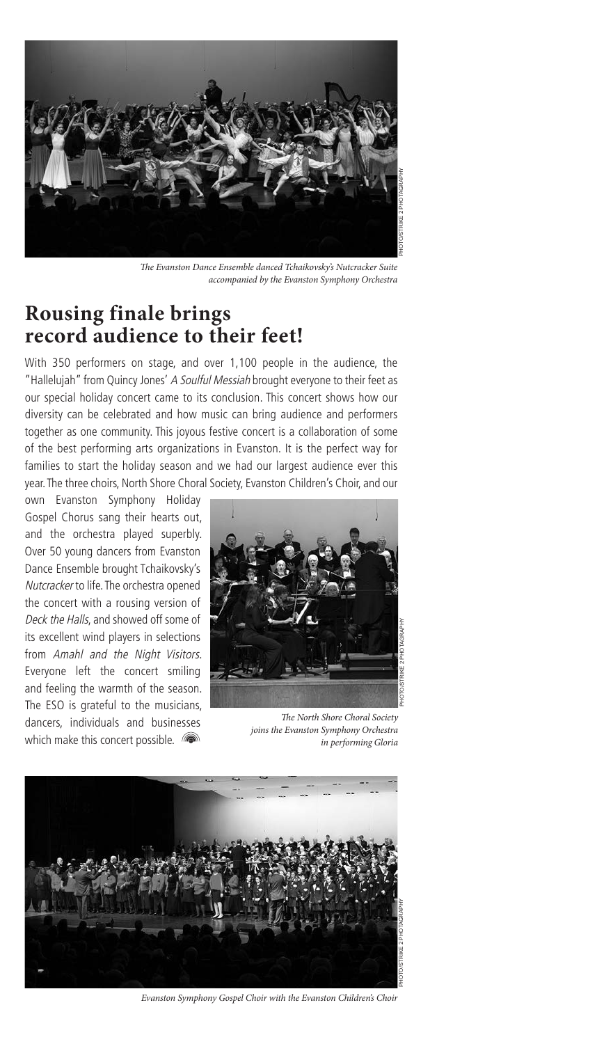

The Evanston Dance Ensemble danced Tchaikovsky's Nutcracker Suite accompanied by the Evanston Symphony Orchestra

#### **Rousing finale brings record audience to their feet!**

With 350 performers on stage, and over 1,100 people in the audience, the "Hallelujah" from Quincy Jones' A Soulful Messiah brought everyone to their feet as our special holiday concert came to its conclusion. This concert shows how our diversity can be celebrated and how music can bring audience and performers together as one community. This joyous festive concert is a collaboration of some of the best performing arts organizations in Evanston. It is the perfect way for families to start the holiday season and we had our largest audience ever this year.The three choirs, North Shore Choral Society, Evanston Children's Choir, and our

own Evanston Symphony Holiday Gospel Chorus sang their hearts out, and the orchestra played superbly. Over 50 young dancers from Evanston Dance Ensemble brought Tchaikovsky's Nutcracker to life. The orchestra opened the concert with a rousing version of Deck the Halls, and showed off some of its excellent wind players in selections from Amahl and the Night Visitors. Everyone left the concert smiling and feeling the warmth of the season. The ESO is grateful to the musicians, dancers, individuals and businesses which make this concert possible.



The North Shore Choral Society joins the Evanston Symphony Orchestra in performing Gloria



Evanston Symphony Gospel Choir with the Evanston Children's Choir